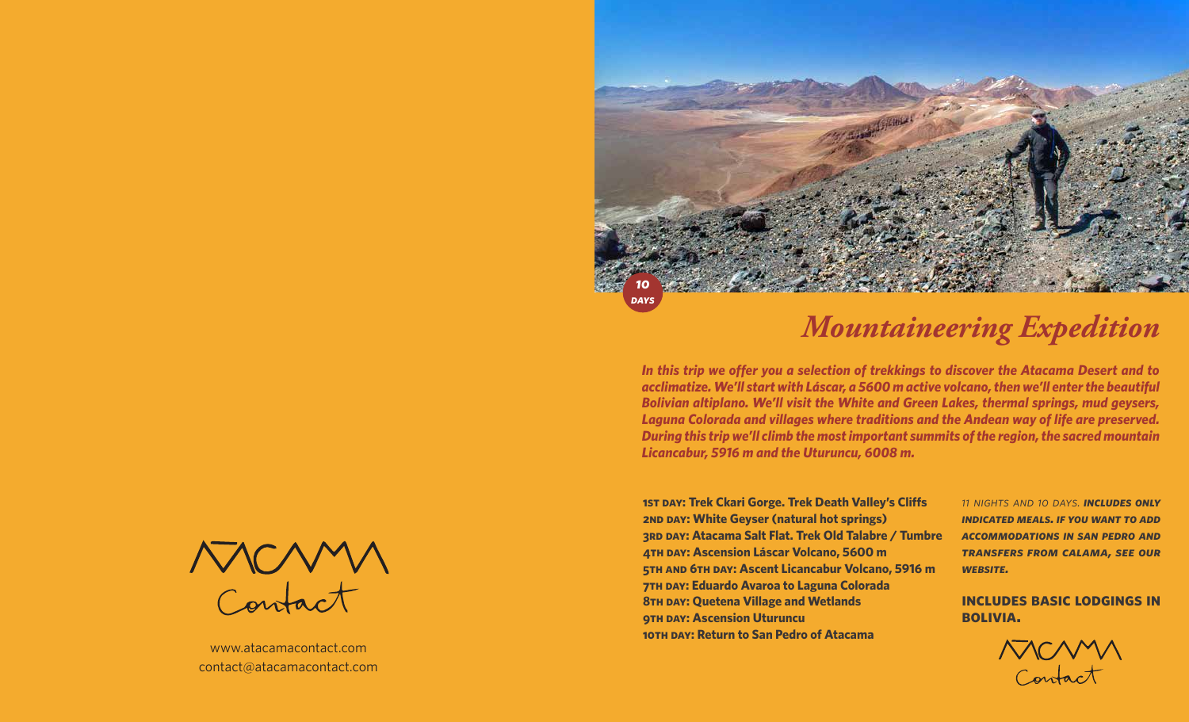

# *Mountaineering Expedition*

*In this trip we offer you a selection of trekkings to discover the Atacama Desert and to acclimatize. We'll start with Láscar, a 5600 m active volcano, then we'll enter the beautiful Bolivian altiplano. We'll visit the White and Green Lakes, thermal springs, mud geysers, Laguna Colorada and villages where traditions and the Andean way of life are preserved. During this trip we'll climb the most important summits of the region, the sacred mountain Licancabur, 5916 m and the Uturuncu, 6008 m.*

**1st day: Trek Ckari Gorge. Trek Death Valley's Cliffs 2nd day: White Geyser (natural hot springs) 3rd day: Atacama Salt Flat. Trek Old Talabre / Tumbre 4th day: Ascension Láscar Volcano, 5600 m 5th and 6th day: Ascent Licancabur Volcano, 5916 m 7th day: Eduardo Avaroa to Laguna Colorada 8th day: Quetena Village and Wetlands 9th day: Ascension Uturuncu 10th day: Return to San Pedro of Atacama**

*11 nights and 10 days. includes only indicated meals. if you want to add accommodations in san pedro and transfers from calama, see our website.*

**includes basic lodgings in bolivia.**



Contact

www.atacamacontact.com contact@atacamacontact.com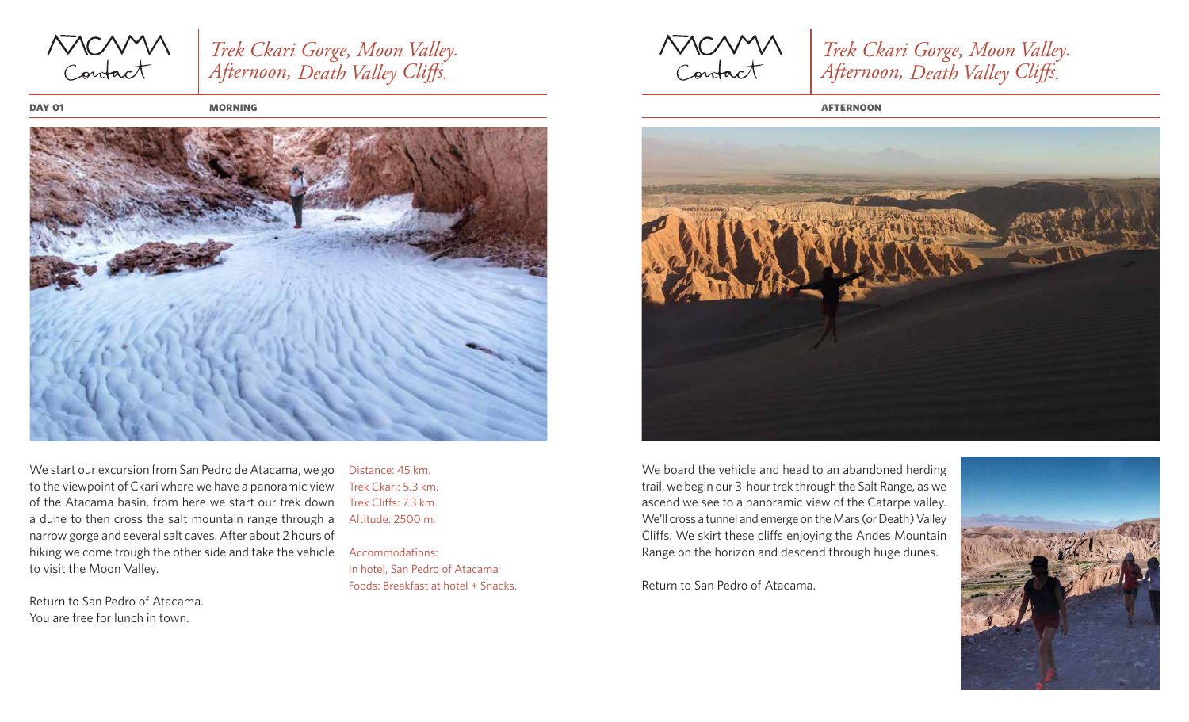MCMM

## *Trek Ckari Gorge, Moon Valley. Afternoon, Death Valley Cliffs.*

**day 01**



We start our excursion from San Pedro de Atacama, we go to the viewpoint of Ckari where we have a panoramic view of the Atacama basin, from here we start our trek down a dune to then cross the salt mountain range through a narrow gorge and several salt caves. After about 2 hours of hiking we come trough the other side and take the vehicle to visit the Moon Valley.

Return to San Pedro of Atacama. You are free for lunch in town.

Distance: 45 km. Trek Ckari: 5.3 km. Trek Cliffs: 7.3 km. Altitude: 2500 m.

Accommodations: In hotel, San Pedro of Atacama Foods: Breakfast at hotel + Snacks.

MCMM

*Trek Ckari Gorge, Moon Valley. Afternoon, Death Valley Cliffs.* 

**morning afternoon**



We board the vehicle and head to an abandoned herding trail, we begin our 3-hour trek through the Salt Range, as we ascend we see to a panoramic view of the Catarpe valley. We'll cross a tunnel and emerge on the Mars (or Death) Valley Cliffs. We skirt these cliffs enjoying the Andes Mountain Range on the horizon and descend through huge dunes.

Return to San Pedro of Atacama.

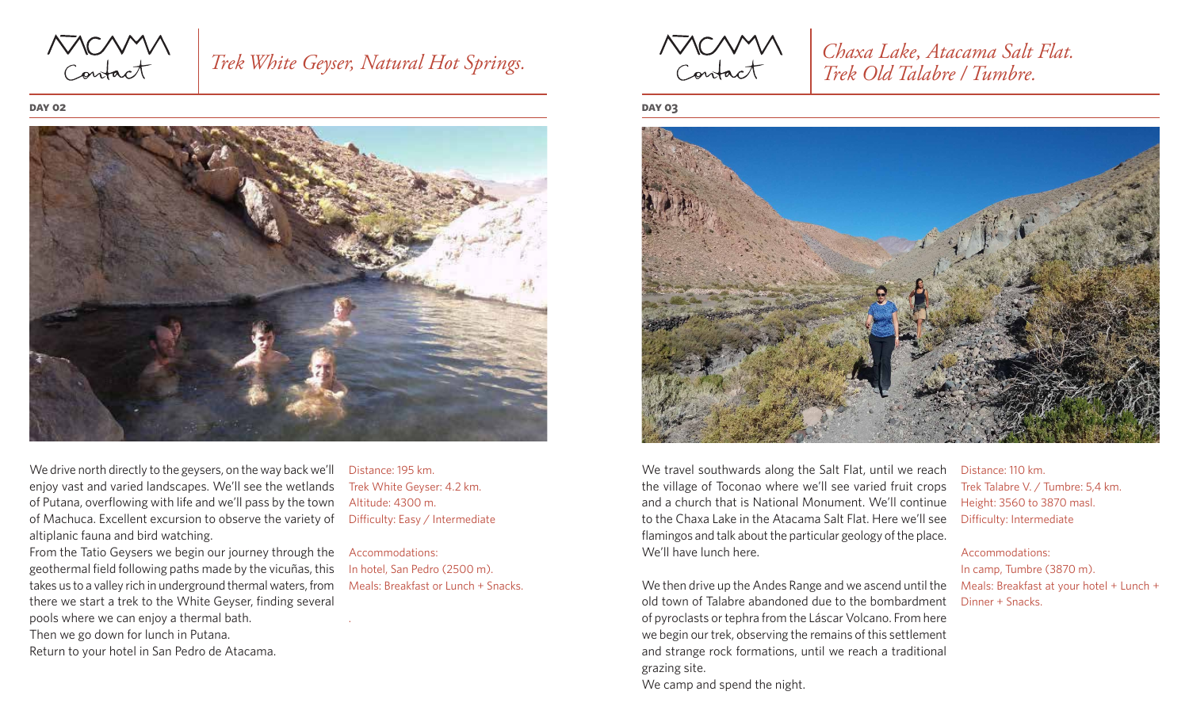NOMM<br>Contact

## *Trek White Geyser, Natural Hot Springs.*

**day 02**



We drive north directly to the geysers, on the way back we'll enjoy vast and varied landscapes. We'll see the wetlands of Putana, overflowing with life and we'll pass by the town of Machuca. Excellent excursion to observe the variety of Difficulty: Easy / Intermediate altiplanic fauna and bird watching.

From the Tatio Geysers we begin our journey through the geothermal field following paths made by the vicuñas, this takes us to a valley rich in underground thermal waters, from there we start a trek to the White Geyser, finding several pools where we can enjoy a thermal bath. Then we go down for lunch in Putana.

Return to your hotel in San Pedro de Atacama.

Distance: 195 km. Trek White Geyser: 4.2 km. Altitude: 4300 m.

.

Accommodations: In hotel, San Pedro (2500 m). Meals: Breakfast or Lunch + Snacks.

MCMM

*Chaxa Lake, Atacama Salt Flat. Trek Old Talabre / Tumbre.*

**day 03**



We travel southwards along the Salt Flat, until we reach the village of Toconao where we'll see varied fruit crops and a church that is National Monument. We'll continue to the Chaxa Lake in the Atacama Salt Flat. Here we'll see flamingos and talk about the particular geology of the place. We'll have lunch here.

We then drive up the Andes Range and we ascend until the old town of Talabre abandoned due to the bombardment of pyroclasts or tephra from the Láscar Volcano. From here we begin our trek, observing the remains of this settlement and strange rock formations, until we reach a traditional grazing site. We camp and spend the night.

Distance: 110 km. Trek Talabre V. / Tumbre: 5,4 km. Height: 3560 to 3870 masl. Difficulty: Intermediate

Accommodations:

In camp, Tumbre (3870 m). Meals: Breakfast at your hotel + Lunch + Dinner + Snacks.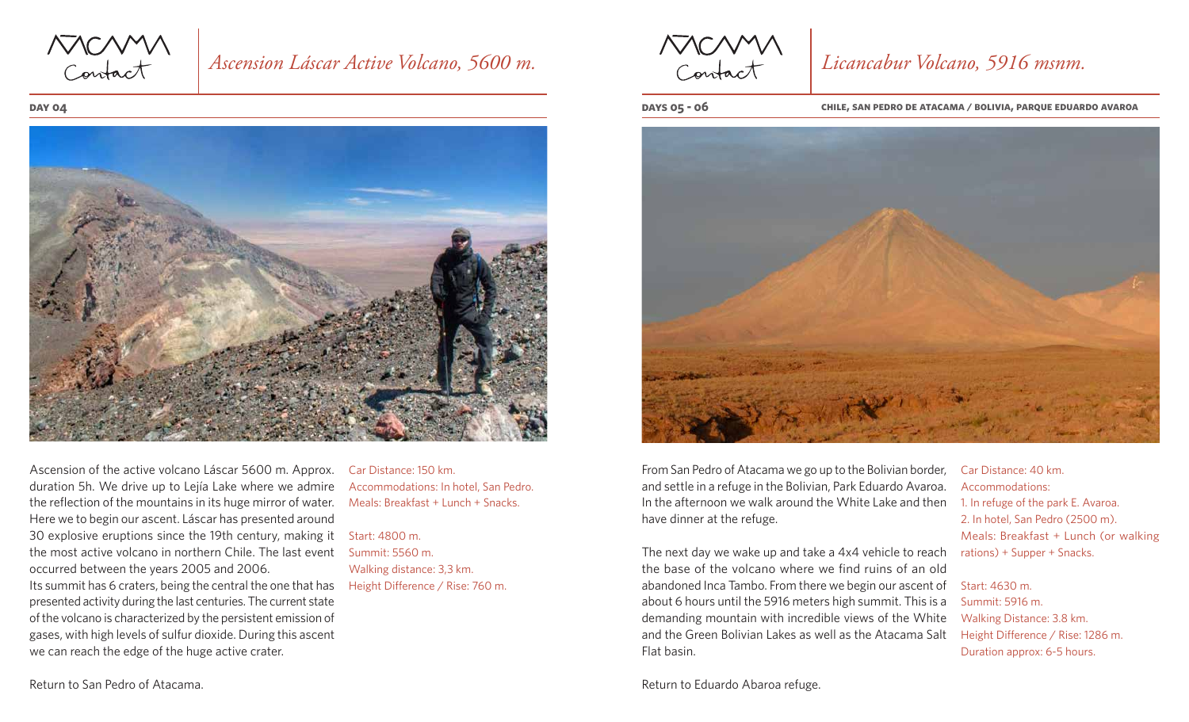

### *Ascension Láscar Active Volcano, 5600 m.*

#### **day 04**



Ascension of the active volcano Láscar 5600 m. Approx. duration 5h. We drive up to Lejía Lake where we admire the reflection of the mountains in its huge mirror of water. Here we to begin our ascent. Láscar has presented around 30 explosive eruptions since the 19th century, making it the most active volcano in northern Chile. The last event occurred between the years 2005 and 2006. Its summit has 6 craters, being the central the one that has presented activity during the last centuries. The current state of the volcano is characterized by the persistent emission of gases, with high levels of sulfur dioxide. During this ascent we can reach the edge of the huge active crater.

Car Distance: 150 km. Accommodations: In hotel, San Pedro. Meals: Breakfast + Lunch + Snacks.

Start: 4800 m. Summit: 5560 m. Walking distance: 3,3 km. Height Difference / Rise: 760 m.

MCMM

## *Licancabur Volcano, 5916 msnm.*

**days 05 - 06 chile, san pedro de atacama / bolivia, parque eduardo avaroa**



From San Pedro of Atacama we go up to the Bolivian border, and settle in a refuge in the Bolivian, Park Eduardo Avaroa. In the afternoon we walk around the White Lake and then 1. In refuge of the park E. Avaroa. have dinner at the refuge.

The next day we wake up and take a 4x4 vehicle to reach the base of the volcano where we find ruins of an old abandoned Inca Tambo. From there we begin our ascent of about 6 hours until the 5916 meters high summit. This is a demanding mountain with incredible views of the White and the Green Bolivian Lakes as well as the Atacama Salt Flat basin.

Return to Eduardo Abaroa refuge.

Car Distance: 40 km. Accommodations: 2. In hotel, San Pedro (2500 m). Meals: Breakfast + Lunch (or walking rations) + Supper + Snacks.

Start: 4630 m. Summit: 5916 m. Walking Distance: 3.8 km. Height Difference / Rise: 1286 m. Duration approx: 6-5 hours.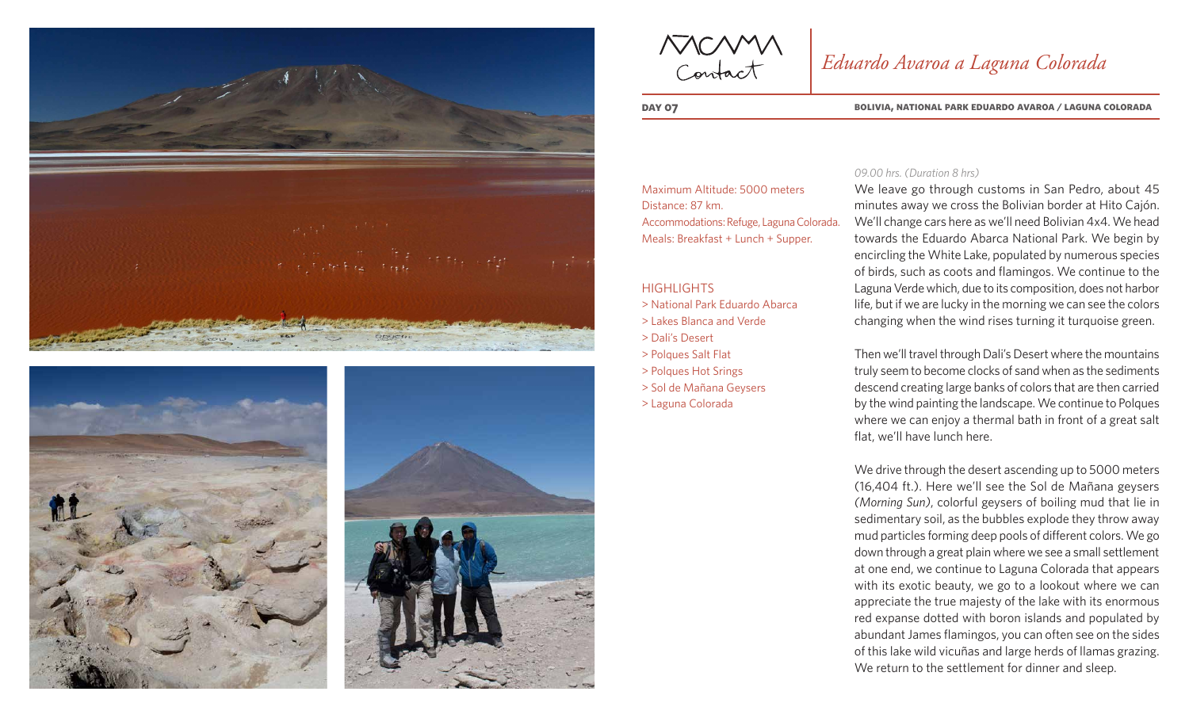





MCMM

## *Eduardo Avaroa a Laguna Colorada*

**day 07 bolivia, national park eduardo avaroa / laguna colorada**

Maximum Altitude: 5000 meters Distance: 87 km. Accommodations: Refuge, Laguna Colorada. Meals: Breakfast + Lunch + Supper.

**HIGHLIGHTS** 

- > National Park Eduardo Abarca
- > Lakes Blanca and Verde
- > Dali's Desert
- > Polques Salt Flat
- > Polques Hot Srings
- > Sol de Mañana Geysers
- > Laguna Colorada

### *09.00 hrs. (Duration 8 hrs)*

We leave go through customs in San Pedro, about 45 minutes away we cross the Bolivian border at Hito Cajón. We'll change cars here as we'll need Bolivian 4x4. We head towards the Eduardo Abarca National Park. We begin by encircling the White Lake, populated by numerous species of birds, such as coots and flamingos. We continue to the Laguna Verde which, due to its composition, does not harbor life, but if we are lucky in the morning we can see the colors changing when the wind rises turning it turquoise green.

Then we'll travel through Dali's Desert where the mountains truly seem to become clocks of sand when as the sediments descend creating large banks of colors that are then carried by the wind painting the landscape. We continue to Polques where we can enjoy a thermal bath in front of a great salt flat, we'll have lunch here.

We drive through the desert ascending up to 5000 meters (16,404 ft.). Here we'll see the Sol de Mañana geysers *(Morning Sun)*, colorful geysers of boiling mud that lie in sedimentary soil, as the bubbles explode they throw away mud particles forming deep pools of different colors. We go down through a great plain where we see a small settlement at one end, we continue to Laguna Colorada that appears with its exotic beauty, we go to a lookout where we can appreciate the true majesty of the lake with its enormous red expanse dotted with boron islands and populated by abundant James flamingos, you can often see on the sides of this lake wild vicuñas and large herds of llamas grazing. We return to the settlement for dinner and sleep.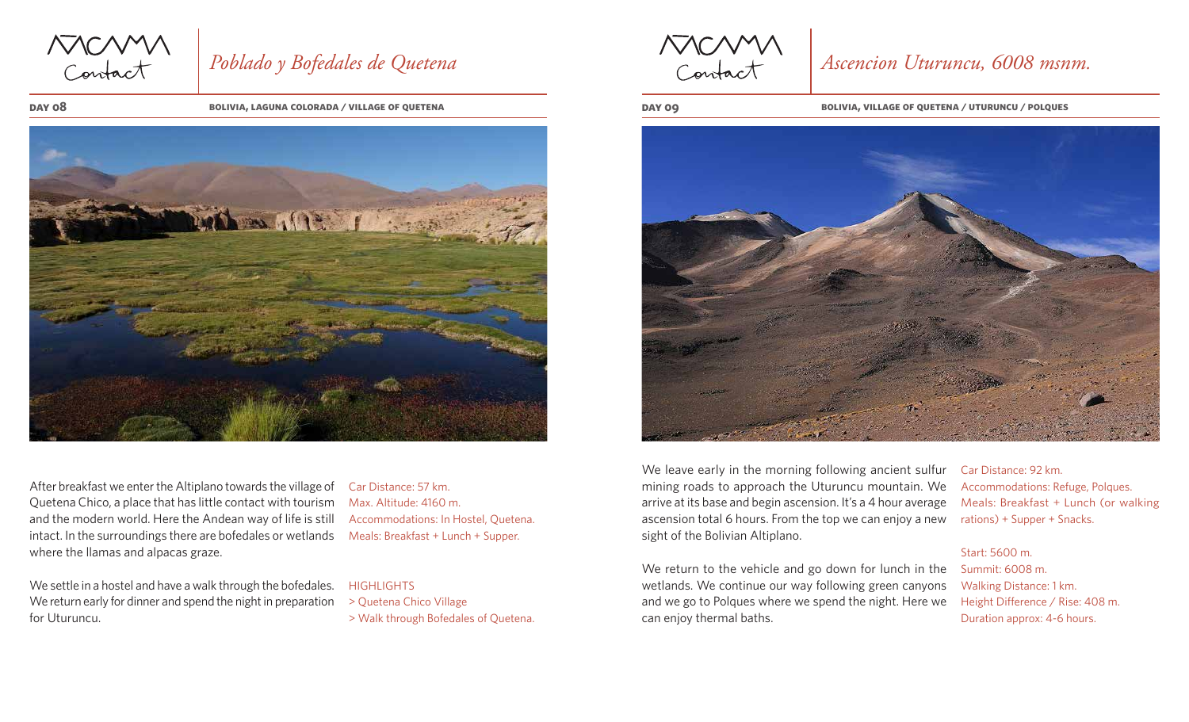MCMM

# *Poblado y Bofedales de Quetena*

**day 08**

**bolivia, laguna colorada / village of quetena day 09**



After breakfast we enter the Altiplano towards the village of Quetena Chico, a place that has little contact with tourism and the modern world. Here the Andean way of life is still intact. In the surroundings there are bofedales or wetlands where the llamas and alpacas graze.

We settle in a hostel and have a walk through the bofedales. We return early for dinner and spend the night in preparation for Uturuncu.

Car Distance: 57 km. Max. Altitude: 4160 m. Accommodations: In Hostel, Quetena. Meals: Breakfast + Lunch + Supper.

### **HIGHLIGHTS**

> Quetena Chico Village > Walk through Bofedales of Quetena.

MCMM

## *Ascencion Uturuncu, 6008 msnm.*

**bolivia, village of quetena / uturuncu / polques**



We leave early in the morning following ancient sulfur mining roads to approach the Uturuncu mountain. We arrive at its base and begin ascension. It's a 4 hour average ascension total 6 hours. From the top we can enjoy a new sight of the Bolivian Altiplano.

We return to the vehicle and go down for lunch in the Summit: 6008 m. wetlands. We continue our way following green canyons and we go to Polques where we spend the night. Here we can enjoy thermal baths.

Car Distance: 92 km. Accommodations: Refuge, Polques. Meals: Breakfast + Lunch (or walking rations) + Supper + Snacks.

#### Start: 5600 m.

Walking Distance: 1 km. Height Difference / Rise: 408 m. Duration approx: 4-6 hours.